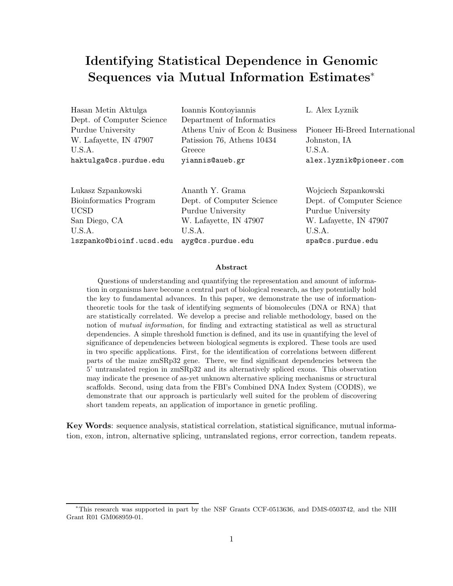# Identifying Statistical Dependence in Genomic Sequences via Mutual Information Estimates<sup>∗</sup>

| Hasan Metin Aktulga       | Ioannis Kontoyiannis           | L. Alex Lyznik                 |
|---------------------------|--------------------------------|--------------------------------|
| Dept. of Computer Science | Department of Informatics      |                                |
| Purdue University         | Athens Univ of Econ & Business | Pioneer Hi-Breed International |
| W. Lafayette, IN 47907    | Patission 76, Athens 10434     | Johnston, IA                   |
| U.S.A.                    | Greece                         | U.S.A.                         |
| haktulga@cs.purdue.edu    | yiannis@aueb.gr                | alex.lyznik@pioneer.com        |
|                           |                                |                                |
|                           |                                |                                |

| Lukasz Szpankowski       | Ananth Y. Grama           | Wojciech Szpankowski      |
|--------------------------|---------------------------|---------------------------|
| Bioinformatics Program   | Dept. of Computer Science | Dept. of Computer Science |
| <b>UCSD</b>              | Purdue University         | Purdue University         |
| San Diego, CA            | W. Lafayette, IN 47907    | W. Lafayette, IN 47907    |
| U.S.A.                   | U.S.A.                    | U.S.A.                    |
| lszpanko@bioinf.ucsd.edu | ayg@cs.purdue.edu         | spa@cs.purdue.edu         |

#### Abstract

Questions of understanding and quantifying the representation and amount of information in organisms have become a central part of biological research, as they potentially hold the key to fundamental advances. In this paper, we demonstrate the use of informationtheoretic tools for the task of identifying segments of biomolecules (DNA or RNA) that are statistically correlated. We develop a precise and reliable methodology, based on the notion of mutual information, for finding and extracting statistical as well as structural dependencies. A simple threshold function is defined, and its use in quantifying the level of significance of dependencies between biological segments is explored. These tools are used in two specific applications. First, for the identification of correlations between different parts of the maize zmSRp32 gene. There, we find significant dependencies between the 5' untranslated region in zmSRp32 and its alternatively spliced exons. This observation may indicate the presence of as-yet unknown alternative splicing mechanisms or structural scaffolds. Second, using data from the FBI's Combined DNA Index System (CODIS), we demonstrate that our approach is particularly well suited for the problem of discovering short tandem repeats, an application of importance in genetic profiling.

Key Words: sequence analysis, statistical correlation, statistical significance, mutual information, exon, intron, alternative splicing, untranslated regions, error correction, tandem repeats.

<sup>∗</sup>This research was supported in part by the NSF Grants CCF-0513636, and DMS-0503742, and the NIH Grant R01 GM068959-01.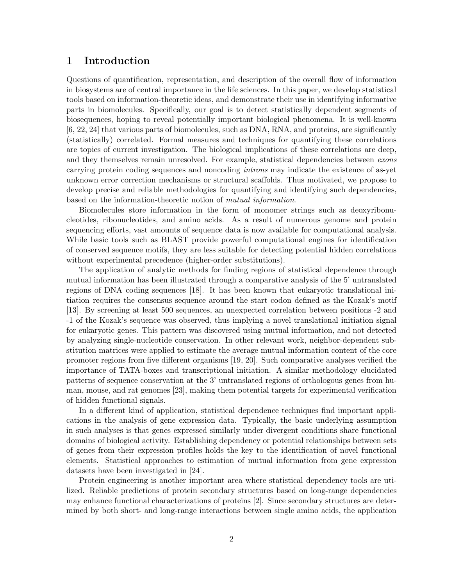### 1 Introduction

Questions of quantification, representation, and description of the overall flow of information in biosystems are of central importance in the life sciences. In this paper, we develop statistical tools based on information-theoretic ideas, and demonstrate their use in identifying informative parts in biomolecules. Specifically, our goal is to detect statistically dependent segments of biosequences, hoping to reveal potentially important biological phenomena. It is well-known [6, 22, 24] that various parts of biomolecules, such as DNA, RNA, and proteins, are significantly (statistically) correlated. Formal measures and techniques for quantifying these correlations are topics of current investigation. The biological implications of these correlations are deep, and they themselves remain unresolved. For example, statistical dependencies between *exons* carrying protein coding sequences and noncoding introns may indicate the existence of as-yet unknown error correction mechanisms or structural scaffolds. Thus motivated, we propose to develop precise and reliable methodologies for quantifying and identifying such dependencies, based on the information-theoretic notion of mutual information.

Biomolecules store information in the form of monomer strings such as deoxyribonucleotides, ribonucleotides, and amino acids. As a result of numerous genome and protein sequencing efforts, vast amounts of sequence data is now available for computational analysis. While basic tools such as BLAST provide powerful computational engines for identification of conserved sequence motifs, they are less suitable for detecting potential hidden correlations without experimental precedence (higher-order substitutions).

The application of analytic methods for finding regions of statistical dependence through mutual information has been illustrated through a comparative analysis of the 5' untranslated regions of DNA coding sequences [18]. It has been known that eukaryotic translational initiation requires the consensus sequence around the start codon defined as the Kozak's motif [13]. By screening at least 500 sequences, an unexpected correlation between positions -2 and -1 of the Kozak's sequence was observed, thus implying a novel translational initiation signal for eukaryotic genes. This pattern was discovered using mutual information, and not detected by analyzing single-nucleotide conservation. In other relevant work, neighbor-dependent substitution matrices were applied to estimate the average mutual information content of the core promoter regions from five different organisms [19, 20]. Such comparative analyses verified the importance of TATA-boxes and transcriptional initiation. A similar methodology elucidated patterns of sequence conservation at the 3' untranslated regions of orthologous genes from human, mouse, and rat genomes [23], making them potential targets for experimental verification of hidden functional signals.

In a different kind of application, statistical dependence techniques find important applications in the analysis of gene expression data. Typically, the basic underlying assumption in such analyses is that genes expressed similarly under divergent conditions share functional domains of biological activity. Establishing dependency or potential relationships between sets of genes from their expression profiles holds the key to the identification of novel functional elements. Statistical approaches to estimation of mutual information from gene expression datasets have been investigated in [24].

Protein engineering is another important area where statistical dependency tools are utilized. Reliable predictions of protein secondary structures based on long-range dependencies may enhance functional characterizations of proteins [2]. Since secondary structures are determined by both short- and long-range interactions between single amino acids, the application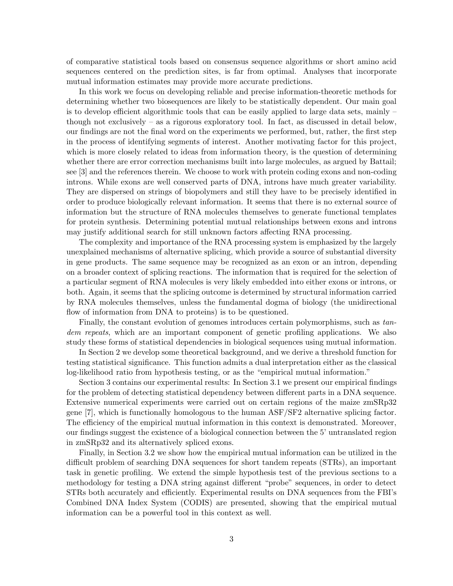of comparative statistical tools based on consensus sequence algorithms or short amino acid sequences centered on the prediction sites, is far from optimal. Analyses that incorporate mutual information estimates may provide more accurate predictions.

In this work we focus on developing reliable and precise information-theoretic methods for determining whether two biosequences are likely to be statistically dependent. Our main goal is to develop efficient algorithmic tools that can be easily applied to large data sets, mainly – though not exclusively – as a rigorous exploratory tool. In fact, as discussed in detail below, our findings are not the final word on the experiments we performed, but, rather, the first step in the process of identifying segments of interest. Another motivating factor for this project, which is more closely related to ideas from information theory, is the question of determining whether there are error correction mechanisms built into large molecules, as argued by Battail; see [3] and the references therein. We choose to work with protein coding exons and non-coding introns. While exons are well conserved parts of DNA, introns have much greater variability. They are dispersed on strings of biopolymers and still they have to be precisely identified in order to produce biologically relevant information. It seems that there is no external source of information but the structure of RNA molecules themselves to generate functional templates for protein synthesis. Determining potential mutual relationships between exons and introns may justify additional search for still unknown factors affecting RNA processing.

The complexity and importance of the RNA processing system is emphasized by the largely unexplained mechanisms of alternative splicing, which provide a source of substantial diversity in gene products. The same sequence may be recognized as an exon or an intron, depending on a broader context of splicing reactions. The information that is required for the selection of a particular segment of RNA molecules is very likely embedded into either exons or introns, or both. Again, it seems that the splicing outcome is determined by structural information carried by RNA molecules themselves, unless the fundamental dogma of biology (the unidirectional flow of information from DNA to proteins) is to be questioned.

Finally, the constant evolution of genomes introduces certain polymorphisms, such as tandem repeats, which are an important component of genetic profiling applications. We also study these forms of statistical dependencies in biological sequences using mutual information.

In Section 2 we develop some theoretical background, and we derive a threshold function for testing statistical significance. This function admits a dual interpretation either as the classical log-likelihood ratio from hypothesis testing, or as the "empirical mutual information."

Section 3 contains our experimental results: In Section 3.1 we present our empirical findings for the problem of detecting statistical dependency between different parts in a DNA sequence. Extensive numerical experiments were carried out on certain regions of the maize zmSRp32 gene [7], which is functionally homologous to the human ASF/SF2 alternative splicing factor. The efficiency of the empirical mutual information in this context is demonstrated. Moreover, our findings suggest the existence of a biological connection between the 5' untranslated region in zmSRp32 and its alternatively spliced exons.

Finally, in Section 3.2 we show how the empirical mutual information can be utilized in the difficult problem of searching DNA sequences for short tandem repeats (STRs), an important task in genetic profiling. We extend the simple hypothesis test of the previous sections to a methodology for testing a DNA string against different "probe" sequences, in order to detect STRs both accurately and efficiently. Experimental results on DNA sequences from the FBI's Combined DNA Index System (CODIS) are presented, showing that the empirical mutual information can be a powerful tool in this context as well.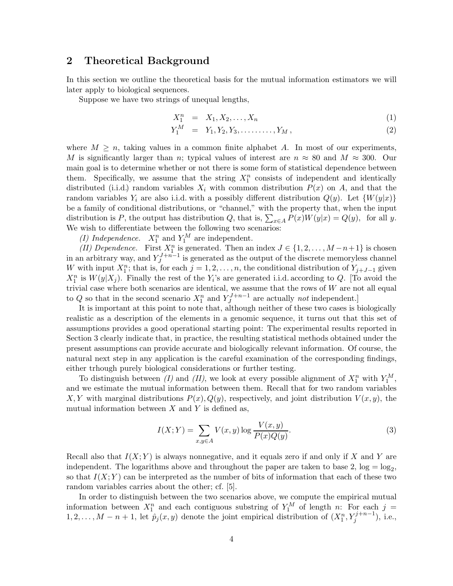### 2 Theoretical Background

In this section we outline the theoretical basis for the mutual information estimators we will later apply to biological sequences.

Suppose we have two strings of unequal lengths,

$$
X_1^n = X_1, X_2, \dots, X_n \tag{1}
$$

$$
Y_1^M = Y_1, Y_2, Y_3, \dots, Y_M, \tag{2}
$$

where  $M \geq n$ , taking values in a common finite alphabet A. In most of our experiments, M is significantly larger than n; typical values of interest are  $n \approx 80$  and  $M \approx 300$ . Our main goal is to determine whether or not there is some form of statistical dependence between them. Specifically, we assume that the string  $X_1^n$  consists of independent and identically distributed (i.i.d.) random variables  $X_i$  with common distribution  $P(x)$  on A, and that the random variables  $Y_i$  are also i.i.d. with a possibly different distribution  $Q(y)$ . Let  $\{W(y|x)\}\$ be a family of conditional distributions, or "channel," with the property that, when the input distribution is P, the output has distribution Q, that is,  $\sum_{x \in A} P(x)W(y|x) = Q(y)$ , for all y. We wish to differentiate between the following two scenarios:

(I) Independence.  $X_1^n$  and  $Y_1^M$  are independent.

(II) Dependence. First  $X_1^n$  is generated. Then an index  $J \in \{1, 2, ..., M-n+1\}$  is chosen in an arbitrary way, and  $Y_I^{J+n-1}$  $J^{J+n-1}_{J}$  is generated as the output of the discrete memoryless channel W with input  $X_1^n$ ; that is, for each  $j = 1, 2, \ldots, n$ , the conditional distribution of  $Y_{j+J-1}$  given  $X_1^n$  is  $W(y|X_j)$ . Finally the rest of the  $Y_i$ 's are generated i.i.d. according to Q. [To avoid the trivial case where both scenarios are identical, we assume that the rows of  $W$  are not all equal to Q so that in the second scenario  $X_1^n$  and  $Y_J^{J+n-1}$  $J^{J+n-1}$  are actually *not* independent.]

It is important at this point to note that, although neither of these two cases is biologically realistic as a description of the elements in a genomic sequence, it turns out that this set of assumptions provides a good operational starting point: The experimental results reported in Section 3 clearly indicate that, in practice, the resulting statistical methods obtained under the present assumptions can provide accurate and biologically relevant information. Of course, the natural next step in any application is the careful examination of the corresponding findings, either trhough purely biological considerations or further testing.

To distinguish between (*I*) and (*II*), we look at every possible alignment of  $X_1^n$  with  $Y_1^M$ , and we estimate the mutual information between them. Recall that for two random variables X, Y with marginal distributions  $P(x)$ ,  $Q(y)$ , respectively, and joint distribution  $V(x, y)$ , the mutual information between  $X$  and  $Y$  is defined as,

$$
I(X;Y) = \sum_{x,y \in A} V(x,y) \log \frac{V(x,y)}{P(x)Q(y)}.\tag{3}
$$

Recall also that  $I(X; Y)$  is always nonnegative, and it equals zero if and only if X and Y are independent. The logarithms above and throughout the paper are taken to base 2,  $log = log_2$ , so that  $I(X; Y)$  can be interpreted as the number of bits of information that each of these two random variables carries about the other; cf. [5].

In order to distinguish between the two scenarios above, we compute the empirical mutual information between  $X_1^n$  and each contiguous substring of  $Y_1^M$  of length n: For each j =  $1, 2, \ldots, M - n + 1$ , let  $\hat{p}_j(x, y)$  denote the joint empirical distribution of  $(X_1^n, Y_j^{j+n-1})$ , i.e.,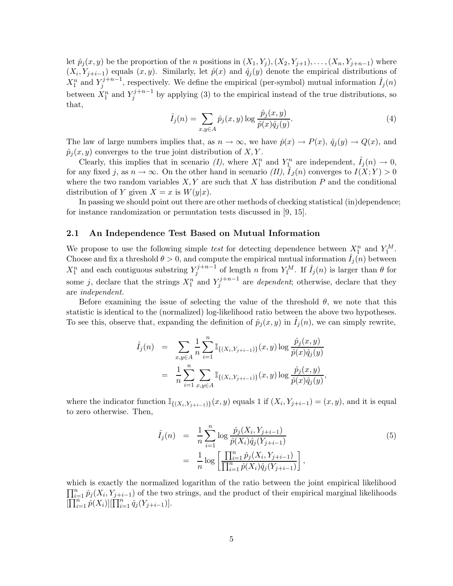let  $\hat{p}_j(x, y)$  be the proportion of the n positions in  $(X_1, Y_j), (X_2, Y_{j+1}), \ldots, (X_n, Y_{j+n-1})$  where  $(X_i, Y_{j+i-1})$  equals  $(x, y)$ . Similarly, let  $\hat{p}(x)$  and  $\hat{q}_j(y)$  denote the empirical distributions of  $X_1^n$  and  $Y_j^{j+n-1}$  $j_j^{j+n-1}$ , respectively. We define the empirical (per-symbol) mutual information  $\hat{I}_j(n)$ between  $X_1^n$  and  $Y_j^{j+n-1}$  $j_j^{(j+n-1)}$  by applying (3) to the empirical instead of the true distributions, so that,

$$
\hat{I}_j(n) = \sum_{x,y \in A} \hat{p}_j(x,y) \log \frac{\hat{p}_j(x,y)}{\hat{p}(x)\hat{q}_j(y)}.
$$
\n
$$
\tag{4}
$$

The law of large numbers implies that, as  $n \to \infty$ , we have  $\hat{p}(x) \to P(x)$ ,  $\hat{q}_i(y) \to Q(x)$ , and  $\hat{p}_i(x, y)$  converges to the true joint distribution of X, Y.

Clearly, this implies that in scenario (I), where  $X_1^n$  and  $Y_1^n$  are independent,  $\hat{I}_j(n) \to 0$ , for any fixed j, as  $n \to \infty$ . On the other hand in scenario (II),  $\hat{I}_J(n)$  converges to  $I(X;Y) > 0$ where the two random variables  $X, Y$  are such that X has distribution P and the conditional distribution of Y given  $X = x$  is  $W(y|x)$ .

In passing we should point out there are other methods of checking statistical (in)dependence; for instance randomization or permutation tests discussed in [9, 15].

#### 2.1 An Independence Test Based on Mutual Information

We propose to use the following simple test for detecting dependence between  $X_1^n$  and  $Y_1^M$ . Choose and fix a threshold  $\theta > 0$ , and compute the empirical mutual information  $\hat{I}_j(n)$  between  $X_1^n$  and each contiguous substring  $Y_j^{j+n-1}$  $\mathcal{F}_j^{j+n-1}$  of length n from  $Y_1^M$ . If  $\hat{I}_j(n)$  is larger than  $\theta$  for some j, declare that the strings  $X_1^n$  and  $Y_j^{j+n-1}$  $j_j^{(j+n-1)}$  are *dependent*; otherwise, declare that they are independent.

Before examining the issue of selecting the value of the threshold  $\theta$ , we note that this statistic is identical to the (normalized) log-likelihood ratio between the above two hypotheses. To see this, observe that, expanding the definition of  $\hat{p}_i(x, y)$  in  $\hat{I}_i(n)$ , we can simply rewrite,

$$
\hat{I}_j(n) = \sum_{x,y \in A} \frac{1}{n} \sum_{i=1}^n \mathbb{I}_{\{(X_i, Y_{j+i-1})\}}(x, y) \log \frac{\hat{p}_j(x, y)}{\hat{p}(x)\hat{q}_j(y)} \n= \frac{1}{n} \sum_{i=1}^n \sum_{x,y \in A} \mathbb{I}_{\{(X_i, Y_{j+i-1})\}}(x, y) \log \frac{\hat{p}_j(x, y)}{\hat{p}(x)\hat{q}_j(y)},
$$

where the indicator function  $\mathbb{I}_{\{(X_i, Y_{j+i-1})\}}(x, y)$  equals 1 if  $(X_i, Y_{j+i-1}) = (x, y)$ , and it is equal to zero otherwise. Then,

$$
\hat{I}_j(n) = \frac{1}{n} \sum_{i=1}^n \log \frac{\hat{p}_j(X_i, Y_{j+i-1})}{\hat{p}(X_i)\hat{q}_j(Y_{j+i-1})}
$$
\n
$$
= \frac{1}{n} \log \left[ \frac{\prod_{i=1}^n \hat{p}_j(X_i, Y_{j+i-1})}{\prod_{i=1}^n \hat{p}(X_i)\hat{q}_j(Y_{j+i-1})} \right],
$$
\n(5)

which is exactly the normalized logarithm of the ratio between the joint empirical likelihood  $\prod_{i=1}^n \hat{p}_j(X_i, Y_{j+i-1})$  of the two strings, and the product of their empirical marginal likelihoods  $\prod_{i=1}^n \hat{p}(X_i) \big] [\prod_{i=1}^n \hat{q}_j(Y_{j+i-1})].$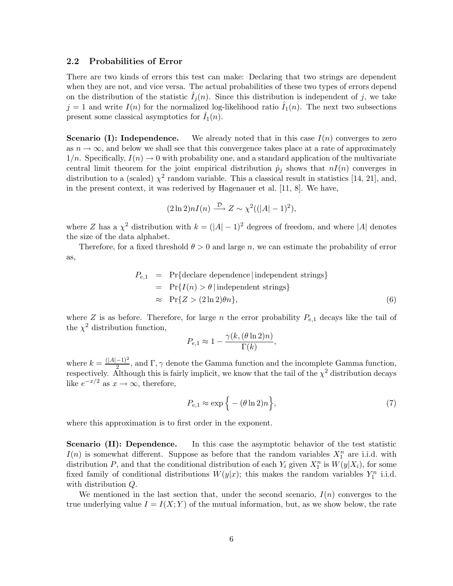#### 2.2 Probabilities of Error

There are two kinds of errors this test can make: Declaring that two strings are dependent when they are not, and vice versa. The actual probabilities of these two types of errors depend on the distribution of the statistic  $\hat{I}_i(n)$ . Since this distribution is independent of j, we take  $j = 1$  and write  $I(n)$  for the normalized log-likelihood ratio  $\hat{I}_1(n)$ . The next two subsections present some classical asymptotics for  $I_1(n)$ .

**Scenario (I):** Independence. We already noted that in this case  $I(n)$  converges to zero as  $n \to \infty$ , and below we shall see that this convergence takes place at a rate of approximately  $1/n$ . Specifically,  $I(n) \to 0$  with probability one, and a standard application of the multivariate central limit theorem for the joint empirical distribution  $\hat{p}_j$  shows that  $nI(n)$  converges in distribution to a (scaled)  $\chi^2$  random variable. This a classical result in statistics [14, 21], and, in the present context, it was rederived by Hagenauer et al. [11, 8]. We have,

$$
(2\ln 2)nI(n) \xrightarrow{\mathcal{D}} Z \sim \chi^2((|A|-1)^2),
$$

where Z has a  $\chi^2$  distribution with  $k = (|A| - 1)^2$  degrees of freedom, and where |A| denotes the size of the data alphabet.

Therefore, for a fixed threshold  $\theta > 0$  and large n, we can estimate the probability of error as,

$$
P_{e,1} = \Pr{\text{declace dependence} | \text{independent strings} }
$$
  
=  $\Pr\{I(n) > \theta | \text{independent strings} \}$   
 $\approx \Pr\{Z > (2\ln 2)\theta n\},$  (6)

where Z is as before. Therefore, for large n the error probability  $P_{e,1}$  decays like the tail of the  $\chi^2$  distribution function,

$$
P_{e,1} \approx 1 - \frac{\gamma(k, (\theta \ln 2)n)}{\Gamma(k)},
$$

where  $k = \frac{(|A|-1)^2}{2}$  $\frac{(-1)}{2}$ , and  $\Gamma$ ,  $\gamma$  denote the Gamma function and the incomplete Gamma function, respectively. Although this is fairly implicit, we know that the tail of the  $\chi^2$  distribution decays like  $e^{-x/2}$  as  $x \to \infty$ , therefore,

$$
P_{e,1} \approx \exp\Big\{-\left(\theta \ln 2\right)n\Big\},\tag{7}
$$

where this approximation is to first order in the exponent.

Scenario (II): Dependence. In this case the asymptotic behavior of the test statistic  $I(n)$  is somewhat different. Suppose as before that the random variables  $X_1^n$  are i.i.d. with distribution  $P$ , and that the conditional distribution of each  $Y_i$  given  $X_1^n$  is  $W(y|X_i)$ , for some fixed family of conditional distributions  $W(y|x)$ ; this makes the random variables  $Y_1^n$  i.i.d. with distribution Q.

We mentioned in the last section that, under the second scenario,  $I(n)$  converges to the true underlying value  $I = I(X;Y)$  of the mutual information, but, as we show below, the rate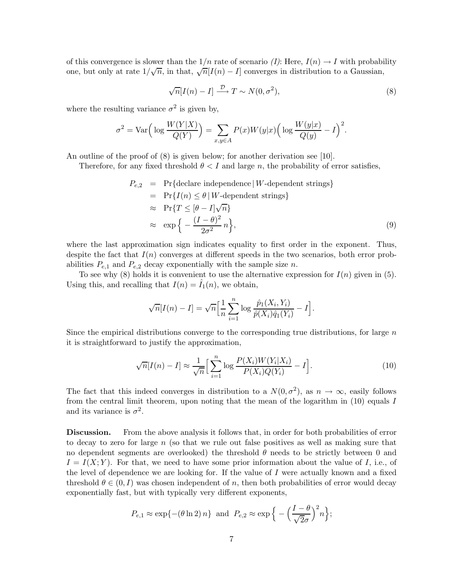of this convergence is slower than the  $1/n$  rate of scenario (*I*): Here,  $I(n) \to I$  with probability one, but only at rate  $1/\sqrt{n}$ , in that,  $\sqrt{n}[I(n)-I]$  converges in distribution to a Gaussian,

$$
\sqrt{n}[I(n) - I] \xrightarrow{\mathcal{D}} T \sim N(0, \sigma^2),\tag{8}
$$

where the resulting variance  $\sigma^2$  is given by,

$$
\sigma^2 = \text{Var}\Big(\log \frac{W(Y|X)}{Q(Y)}\Big) = \sum_{x,y \in A} P(x)W(y|x) \Big(\log \frac{W(y|x)}{Q(y)} - I\Big)^2.
$$

An outline of the proof of  $(8)$  is given below; for another derivation see [10].

Therefore, for any fixed threshold  $\theta < I$  and large n, the probability of error satisfies,

$$
P_{e,2} = \Pr{\text{declace independence} | W\text{-dependent strings}}
$$
  
=  $\Pr\{I(n) \le \theta | W\text{-dependent strings}\}$   

$$
\approx \Pr\{T \le [\theta - I]\sqrt{n}\}
$$
  

$$
\approx \exp\{-\frac{(I - \theta)^2}{2\sigma^2}n\},
$$
 (9)

where the last approximation sign indicates equality to first order in the exponent. Thus, despite the fact that  $I(n)$  converges at different speeds in the two scenarios, both error probabilities  $P_{e,1}$  and  $P_{e,2}$  decay exponentially with the sample size n.

To see why (8) holds it is convenient to use the alternative expression for  $I(n)$  given in (5). Using this, and recalling that  $I(n) = \hat{I}_1(n)$ , we obtain,

$$
\sqrt{n}[I(n) - I] = \sqrt{n} \Big[ \frac{1}{n} \sum_{i=1}^{n} \log \frac{\hat{p}_1(X_i, Y_i)}{\hat{p}(X_i)\hat{q}_1(Y_i)} - I \Big].
$$

Since the empirical distributions converge to the corresponding true distributions, for large  $n$ it is straightforward to justify the approximation,

$$
\sqrt{n}[I(n) - I] \approx \frac{1}{\sqrt{n}} \Big[ \sum_{i=1}^{n} \log \frac{P(X_i)W(Y_i|X_i)}{P(X_i)Q(Y_i)} - I \Big].
$$
 (10)

The fact that this indeed converges in distribution to a  $N(0, \sigma^2)$ , as  $n \to \infty$ , easily follows from the central limit theorem, upon noting that the mean of the logarithm in  $(10)$  equals I and its variance is  $\sigma^2$ .

Discussion. From the above analysis it follows that, in order for both probabilities of error to decay to zero for large n (so that we rule out false positives as well as making sure that no dependent segments are overlooked) the threshold  $\theta$  needs to be strictly between 0 and  $I = I(X; Y)$ . For that, we need to have some prior information about the value of I, i.e., of the level of dependence we are looking for. If the value of  $I$  were actually known and a fixed threshold  $\theta \in (0, I)$  was chosen independent of n, then both probabilities of error would decay exponentially fast, but with typically very different exponents,

$$
P_{e,1} \approx \exp\{- (\theta \ln 2) n\}
$$
 and  $P_{e,2} \approx \exp\left\{-\left(\frac{I-\theta}{\sqrt{2}\sigma}\right)^2 n\right\};$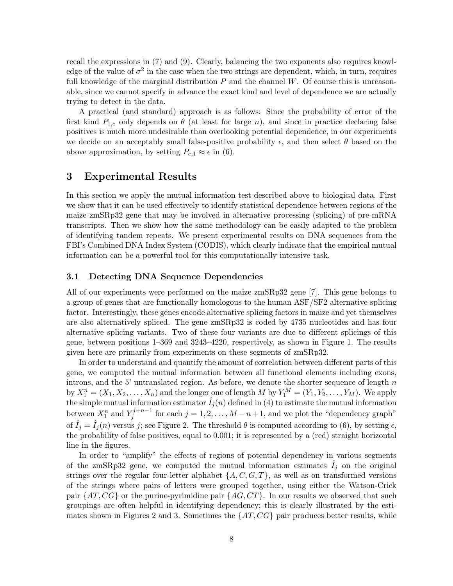recall the expressions in (7) and (9). Clearly, balancing the two exponents also requires knowledge of the value of  $\sigma^2$  in the case when the two strings are dependent, which, in turn, requires full knowledge of the marginal distribution  $P$  and the channel  $W$ . Of course this is unreasonable, since we cannot specify in advance the exact kind and level of dependence we are actually trying to detect in the data.

A practical (and standard) approach is as follows: Since the probability of error of the first kind  $P_{1,e}$  only depends on  $\theta$  (at least for large n), and since in practice declaring false positives is much more undesirable than overlooking potential dependence, in our experiments we decide on an acceptably small false-positive probability  $\epsilon$ , and then select  $\theta$  based on the above approximation, by setting  $P_{e,1} \approx \epsilon$  in (6).

### 3 Experimental Results

In this section we apply the mutual information test described above to biological data. First we show that it can be used effectively to identify statistical dependence between regions of the maize zmSRp32 gene that may be involved in alternative processing (splicing) of pre-mRNA transcripts. Then we show how the same methodology can be easily adapted to the problem of identifying tandem repeats. We present experimental results on DNA sequences from the FBI's Combined DNA Index System (CODIS), which clearly indicate that the empirical mutual information can be a powerful tool for this computationally intensive task.

### 3.1 Detecting DNA Sequence Dependencies

All of our experiments were performed on the maize zmSRp32 gene [7]. This gene belongs to a group of genes that are functionally homologous to the human ASF/SF2 alternative splicing factor. Interestingly, these genes encode alternative splicing factors in maize and yet themselves are also alternatively spliced. The gene zmSRp32 is coded by 4735 nucleotides and has four alternative splicing variants. Two of these four variants are due to different splicings of this gene, between positions 1–369 and 3243–4220, respectively, as shown in Figure 1. The results given here are primarily from experiments on these segments of zmSRp32.

In order to understand and quantify the amount of correlation between different parts of this gene, we computed the mutual information between all functional elements including exons, introns, and the 5' untranslated region. As before, we denote the shorter sequence of length  $n$ by  $X_1^n = (X_1, X_2, \ldots, X_n)$  and the longer one of length M by  $Y_1^M = (Y_1, Y_2, \ldots, Y_M)$ . We apply the simple mutual information estimator  $\hat{I}_i(n)$  defined in (4) to estimate the mutual information between  $X_1^n$  and  $Y_j^{j+n-1}$  $j_j^{j+n-1}$  for each  $j = 1, 2, ..., M-n+1$ , and we plot the "dependency graph" of  $\hat{I}_j = \hat{I}_j(n)$  versus j; see Figure 2. The threshold  $\theta$  is computed according to (6), by setting  $\epsilon$ , the probability of false positives, equal to 0.001; it is represented by a (red) straight horizontal line in the figures.

In order to "amplify" the effects of regions of potential dependency in various segments of the zmSRp32 gene, we computed the mutual information estimates  $I_j$  on the original strings over the regular four-letter alphabet  $\{A, C, G, T\}$ , as well as on transformed versions of the strings where pairs of letters were grouped together, using either the Watson-Crick pair  $\{AT, CG\}$  or the purine-pyrimidine pair  $\{AG, CT\}$ . In our results we observed that such groupings are often helpful in identifying dependency; this is clearly illustrated by the estimates shown in Figures 2 and 3. Sometimes the  $\{AT, CG\}$  pair produces better results, while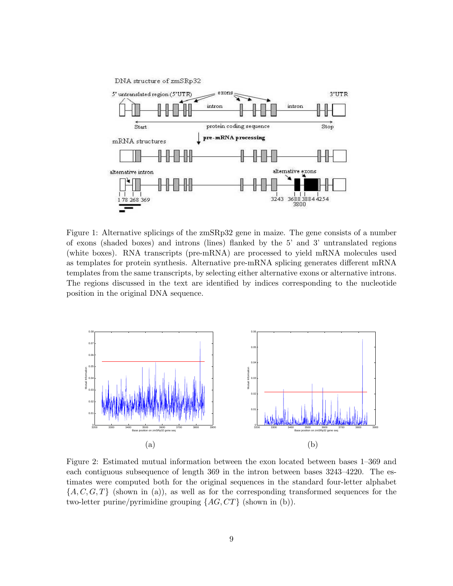DNA structure of zmSRp32



Figure 1: Alternative splicings of the zmSRp32 gene in maize. The gene consists of a number of exons (shaded boxes) and introns (lines) flanked by the 5' and 3' untranslated regions (white boxes). RNA transcripts (pre-mRNA) are processed to yield mRNA molecules used as templates for protein synthesis. Alternative pre-mRNA splicing generates different mRNA templates from the same transcripts, by selecting either alternative exons or alternative introns. The regions discussed in the text are identified by indices corresponding to the nucleotide position in the original DNA sequence.



Figure 2: Estimated mutual information between the exon located between bases 1–369 and each contiguous subsequence of length 369 in the intron between bases 3243–4220. The estimates were computed both for the original sequences in the standard four-letter alphabet  $\{A, C, G, T\}$  (shown in (a)), as well as for the corresponding transformed sequences for the two-letter purine/pyrimidine grouping  $\{AG, CT\}$  (shown in (b)).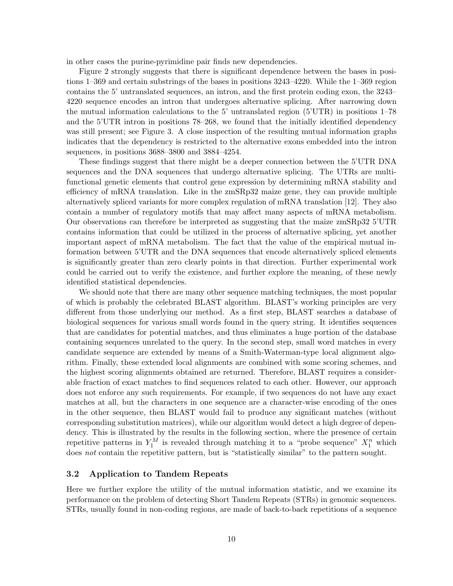in other cases the purine-pyrimidine pair finds new dependencies.

Figure 2 strongly suggests that there is significant dependence between the bases in positions 1–369 and certain substrings of the bases in positions 3243–4220. While the 1–369 region contains the 5' untranslated sequences, an intron, and the first protein coding exon, the 3243– 4220 sequence encodes an intron that undergoes alternative splicing. After narrowing down the mutual information calculations to the 5' untranslated region (5'UTR) in positions 1–78 and the 5'UTR intron in positions 78–268, we found that the initially identified dependency was still present; see Figure 3. A close inspection of the resulting mutual information graphs indicates that the dependency is restricted to the alternative exons embedded into the intron sequences, in positions 3688–3800 and 3884–4254.

These findings suggest that there might be a deeper connection between the 5'UTR DNA sequences and the DNA sequences that undergo alternative splicing. The UTRs are multifunctional genetic elements that control gene expression by determining mRNA stability and efficiency of mRNA translation. Like in the zmSRp32 maize gene, they can provide multiple alternatively spliced variants for more complex regulation of mRNA translation [12]. They also contain a number of regulatory motifs that may affect many aspects of mRNA metabolism. Our observations can therefore be interpreted as suggesting that the maize zmSRp32 5'UTR contains information that could be utilized in the process of alternative splicing, yet another important aspect of mRNA metabolism. The fact that the value of the empirical mutual information between 5'UTR and the DNA sequences that encode alternatively spliced elements is significantly greater than zero clearly points in that direction. Further experimental work could be carried out to verify the existence, and further explore the meaning, of these newly identified statistical dependencies.

We should note that there are many other sequence matching techniques, the most popular of which is probably the celebrated BLAST algorithm. BLAST's working principles are very different from those underlying our method. As a first step, BLAST searches a database of biological sequences for various small words found in the query string. It identifies sequences that are candidates for potential matches, and thus eliminates a huge portion of the database containing sequences unrelated to the query. In the second step, small word matches in every candidate sequence are extended by means of a Smith-Waterman-type local alignment algorithm. Finally, these extended local alignments are combined with some scoring schemes, and the highest scoring alignments obtained are returned. Therefore, BLAST requires a considerable fraction of exact matches to find sequences related to each other. However, our approach does not enforce any such requirements. For example, if two sequences do not have any exact matches at all, but the characters in one sequence are a character-wise encoding of the ones in the other sequence, then BLAST would fail to produce any significant matches (without corresponding substitution matrices), while our algorithm would detect a high degree of dependency. This is illustrated by the results in the following section, where the presence of certain repetitive patterns in  $Y_1^M$  is revealed through matching it to a "probe sequence"  $X_1^n$  which does not contain the repetitive pattern, but is "statistically similar" to the pattern sought.

#### 3.2 Application to Tandem Repeats

Here we further explore the utility of the mutual information statistic, and we examine its performance on the problem of detecting Short Tandem Repeats (STRs) in genomic sequences. STRs, usually found in non-coding regions, are made of back-to-back repetitions of a sequence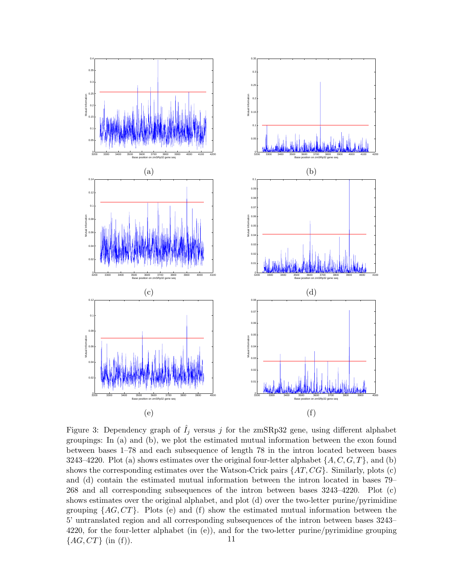

Figure 3: Dependency graph of  $\hat{I}_j$  versus j for the zmSRp32 gene, using different alphabet groupings: In (a) and (b), we plot the estimated mutual information between the exon found between bases 1–78 and each subsequence of length 78 in the intron located between bases 3243–4220. Plot (a) shows estimates over the original four-letter alphabet  $\{A, C, G, T\}$ , and (b) shows the corresponding estimates over the Watson-Crick pairs  $\{AT, CG\}$ . Similarly, plots (c) and (d) contain the estimated mutual information between the intron located in bases 79– 268 and all corresponding subsequences of the intron between bases 3243–4220. Plot (c) shows estimates over the original alphabet, and plot (d) over the two-letter purine/pyrimidine grouping  $\{AG, CT\}$ . Plots (e) and (f) show the estimated mutual information between the 5' untranslated region and all corresponding subsequences of the intron between bases 3243– 4220, for the four-letter alphabet (in (e)), and for the two-letter purine/pyrimidine grouping  ${AG, CT}$  (in (f)). 11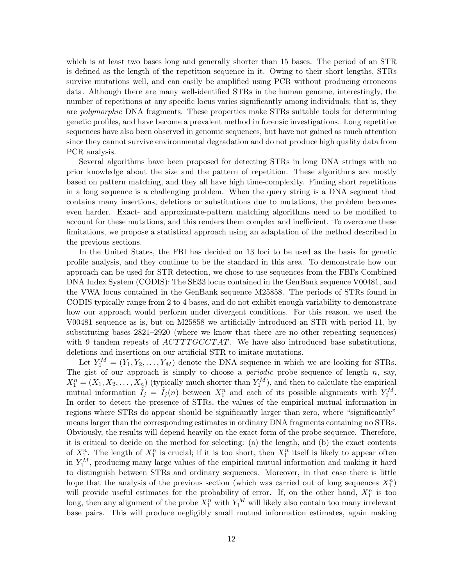which is at least two bases long and generally shorter than 15 bases. The period of an STR is defined as the length of the repetition sequence in it. Owing to their short lengths, STRs survive mutations well, and can easily be amplified using PCR without producing erroneous data. Although there are many well-identified STRs in the human genome, interestingly, the number of repetitions at any specific locus varies significantly among individuals; that is, they are *polymorphic* DNA fragments. These properties make STRs suitable tools for determining genetic profiles, and have become a prevalent method in forensic investigations. Long repetitive sequences have also been observed in genomic sequences, but have not gained as much attention since they cannot survive environmental degradation and do not produce high quality data from PCR analysis.

Several algorithms have been proposed for detecting STRs in long DNA strings with no prior knowledge about the size and the pattern of repetition. These algorithms are mostly based on pattern matching, and they all have high time-complexity. Finding short repetitions in a long sequence is a challenging problem. When the query string is a DNA segment that contains many insertions, deletions or substitutions due to mutations, the problem becomes even harder. Exact- and approximate-pattern matching algorithms need to be modified to account for these mutations, and this renders them complex and inefficient. To overcome these limitations, we propose a statistical approach using an adaptation of the method described in the previous sections.

In the United States, the FBI has decided on 13 loci to be used as the basis for genetic profile analysis, and they continue to be the standard in this area. To demonstrate how our approach can be used for STR detection, we chose to use sequences from the FBI's Combined DNA Index System (CODIS): The SE33 locus contained in the GenBank sequence V00481, and the VWA locus contained in the GenBank sequence M25858. The periods of STRs found in CODIS typically range from 2 to 4 bases, and do not exhibit enough variability to demonstrate how our approach would perform under divergent conditions. For this reason, we used the V00481 sequence as is, but on M25858 we artificially introduced an STR with period 11, by substituting bases 2821–2920 (where we know that there are no other repeating sequences) with 9 tandem repeats of  $ACTTTGCCTAT$ . We have also introduced base substitutions, deletions and insertions on our artificial STR to imitate mutations.

Let  $Y_1^M = (Y_1, Y_2, \ldots, Y_M)$  denote the DNA sequence in which we are looking for STRs. The gist of our approach is simply to choose a *periodic* probe sequence of length  $n$ , say,  $X_1^n = (X_1, X_2, \ldots, X_n)$  (typically much shorter than  $Y_1^M$ ), and then to calculate the empirical mutual information  $\hat{I}_j = \hat{I}_j(n)$  between  $X_1^n$  and each of its possible alignments with  $Y_1^M$ . In order to detect the presence of STRs, the values of the empirical mutual information in regions where STRs do appear should be significantly larger than zero, where "significantly" means larger than the corresponding estimates in ordinary DNA fragments containing no STRs. Obviously, the results will depend heavily on the exact form of the probe sequence. Therefore, it is critical to decide on the method for selecting: (a) the length, and (b) the exact contents of  $X_1^n$ . The length of  $X_1^n$  is crucial; if it is too short, then  $X_1^n$  itself is likely to appear often in  $Y_1^M$ , producing many large values of the empirical mutual information and making it hard to distinguish between STRs and ordinary sequences. Moreover, in that case there is little hope that the analysis of the previous section (which was carried out of long sequences  $X_1^n$ ) will provide useful estimates for the probability of error. If, on the other hand,  $X_1^n$  is too long, then any alignment of the probe  $X_1^n$  with  $Y_1^M$  will likely also contain too many irrelevant base pairs. This will produce negligibly small mutual information estimates, again making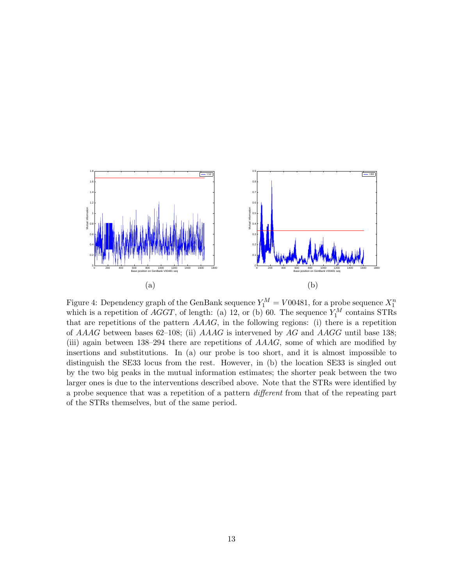

Figure 4: Dependency graph of the GenBank sequence  $Y_1^M = V00481$ , for a probe sequence  $X_1^n$ which is a repetition of  $AGGT$ , of length: (a) 12, or (b) 60. The sequence  $Y_1^M$  contains STRs that are repetitions of the pattern AAAG, in the following regions: (i) there is a repetition of  $AAG$  between bases 62–108; (ii)  $AAG$  is intervened by  $AG$  and  $AAGG$  until base 138; (iii) again between 138–294 there are repetitions of AAAG, some of which are modified by insertions and substitutions. In (a) our probe is too short, and it is almost impossible to distinguish the SE33 locus from the rest. However, in (b) the location SE33 is singled out by the two big peaks in the mutual information estimates; the shorter peak between the two larger ones is due to the interventions described above. Note that the STRs were identified by a probe sequence that was a repetition of a pattern different from that of the repeating part of the STRs themselves, but of the same period.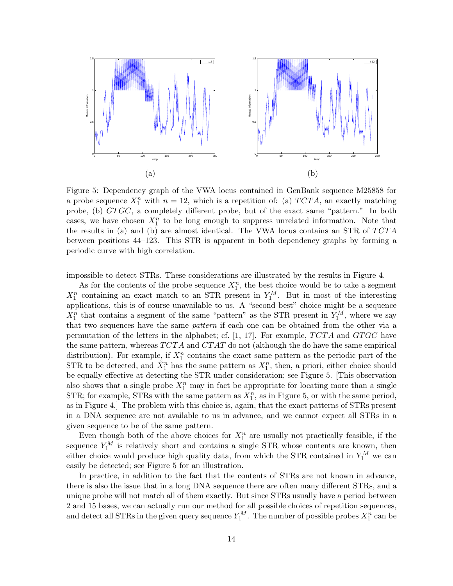

Figure 5: Dependency graph of the VWA locus contained in GenBank sequence M25858 for a probe sequence  $X_1^n$  with  $n = 12$ , which is a repetition of: (a)  $TCTA$ , an exactly matching probe, (b) GTGC, a completely different probe, but of the exact same "pattern." In both cases, we have chosen  $X_1^n$  to be long enough to suppress unrelated information. Note that the results in (a) and (b) are almost identical. The VWA locus contains an STR of  $TCTA$ between positions 44–123. This STR is apparent in both dependency graphs by forming a periodic curve with high correlation.

impossible to detect STRs. These considerations are illustrated by the results in Figure 4.

As for the contents of the probe sequence  $X_1^n$ , the best choice would be to take a segment  $X_1^n$  containing an exact match to an STR present in  $Y_1^M$ . But in most of the interesting applications, this is of course unavailable to us. A "second best" choice might be a sequence  $X_1^n$  that contains a segment of the same "pattern" as the STR present in  $Y_1^M$ , where we say that two sequences have the same pattern if each one can be obtained from the other via a permutation of the letters in the alphabet; cf. [1, 17]. For example,  $TCTA$  and  $GTGC$  have the same pattern, whereas  $TCTA$  and  $CTAT$  do not (although the do have the same empirical distribution). For example, if  $X_1^n$  contains the exact same pattern as the periodic part of the STR to be detected, and  $\tilde{X}_1^n$  has the same pattern as  $X_1^n$ , then, a priori, either choice should be equally effective at detecting the STR under consideration; see Figure 5. [This observation also shows that a single probe  $X_1^n$  may in fact be appropriate for locating more than a single STR; for example, STRs with the same pattern as  $X_1^n$ , as in Figure 5, or with the same period, as in Figure 4.] The problem with this choice is, again, that the exact patterns of STRs present in a DNA sequence are not available to us in advance, and we cannot expect all STRs in a given sequence to be of the same pattern.

Even though both of the above choices for  $X_1^n$  are usually not practically feasible, if the sequence  $Y_1^M$  is relatively short and contains a single STR whose contents are known, then either choice would produce high quality data, from which the STR contained in  $Y_1^M$  we can easily be detected; see Figure 5 for an illustration.

In practice, in addition to the fact that the contents of STRs are not known in advance, there is also the issue that in a long DNA sequence there are often many different STRs, and a unique probe will not match all of them exactly. But since STRs usually have a period between 2 and 15 bases, we can actually run our method for all possible choices of repetition sequences, and detect all STRs in the given query sequence  $Y_1^M$ . The number of possible probes  $X_1^n$  can be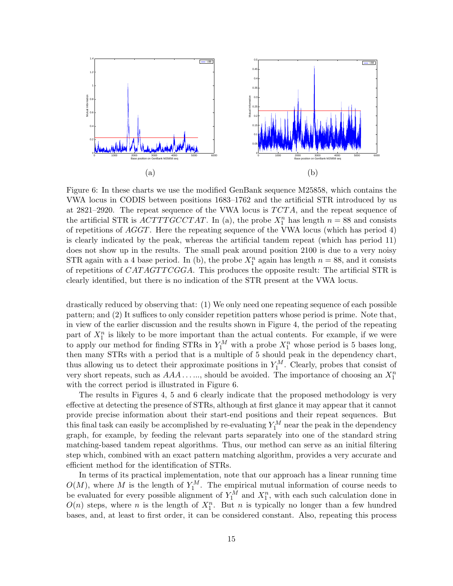

Figure 6: In these charts we use the modified GenBank sequence M25858, which contains the VWA locus in CODIS between positions 1683–1762 and the artificial STR introduced by us at 2821–2920. The repeat sequence of the VWA locus is  $TCTA$ , and the repeat sequence of the artificial STR is  $ACTTTGCCTAT$ . In (a), the probe  $X_1^n$  has length  $n = 88$  and consists of repetitions of  $AGGT$ . Here the repeating sequence of the VWA locus (which has period 4) is clearly indicated by the peak, whereas the artificial tandem repeat (which has period 11) does not show up in the results. The small peak around position 2100 is due to a very noisy STR again with a 4 base period. In (b), the probe  $X_1^n$  again has length  $n = 88$ , and it consists of repetitions of *CATAGTTCGGA*. This produces the opposite result: The artificial STR is clearly identified, but there is no indication of the STR present at the VWA locus.

drastically reduced by observing that: (1) We only need one repeating sequence of each possible pattern; and (2) It suffices to only consider repetition patters whose period is prime. Note that, in view of the earlier discussion and the results shown in Figure 4, the period of the repeating part of  $X_1^n$  is likely to be more important than the actual contents. For example, if we were to apply our method for finding STRs in  $Y_1^M$  with a probe  $X_1^n$  whose period is 5 bases long, then many STRs with a period that is a multiple of 5 should peak in the dependency chart, thus allowing us to detect their approximate positions in  $Y_1^M$ . Clearly, probes that consist of very short repeats, such as  $AAA$ ......, should be avoided. The importance of choosing an  $X_1^n$ with the correct period is illustrated in Figure 6.

The results in Figures 4, 5 and 6 clearly indicate that the proposed methodology is very effective at detecting the presence of STRs, although at first glance it may appear that it cannot provide precise information about their start-end positions and their repeat sequences. But this final task can easily be accomplished by re-evaluating  $Y_1^M$  near the peak in the dependency graph, for example, by feeding the relevant parts separately into one of the standard string matching-based tandem repeat algorithms. Thus, our method can serve as an initial filtering step which, combined with an exact pattern matching algorithm, provides a very accurate and efficient method for the identification of STRs.

In terms of its practical implementation, note that our approach has a linear running time  $O(M)$ , where M is the length of  $Y_1^M$ . The empirical mutual information of course needs to be evaluated for every possible alignment of  $Y_1^M$  and  $X_1^n$ , with each such calculation done in  $O(n)$  steps, where n is the length of  $X_1^n$ . But n is typically no longer than a few hundred bases, and, at least to first order, it can be considered constant. Also, repeating this process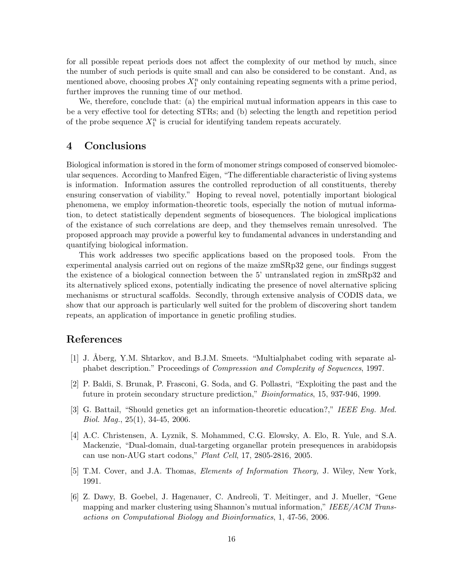for all possible repeat periods does not affect the complexity of our method by much, since the number of such periods is quite small and can also be considered to be constant. And, as mentioned above, choosing probes  $X_1^n$  only containing repeating segments with a prime period, further improves the running time of our method.

We, therefore, conclude that: (a) the empirical mutual information appears in this case to be a very effective tool for detecting STRs; and (b) selecting the length and repetition period of the probe sequence  $X_1^n$  is crucial for identifying tandem repeats accurately.

### 4 Conclusions

Biological information is stored in the form of monomer strings composed of conserved biomolecular sequences. According to Manfred Eigen, "The differentiable characteristic of living systems is information. Information assures the controlled reproduction of all constituents, thereby ensuring conservation of viability." Hoping to reveal novel, potentially important biological phenomena, we employ information-theoretic tools, especially the notion of mutual information, to detect statistically dependent segments of biosequences. The biological implications of the existance of such correlations are deep, and they themselves remain unresolved. The proposed approach may provide a powerful key to fundamental advances in understanding and quantifying biological information.

This work addresses two specific applications based on the proposed tools. From the experimental analysis carried out on regions of the maize zmSRp32 gene, our findings suggest the existence of a biological connection between the 5' untranslated region in zmSRp32 and its alternatively spliced exons, potentially indicating the presence of novel alternative splicing mechanisms or structural scaffolds. Secondly, through extensive analysis of CODIS data, we show that our approach is particularly well suited for the problem of discovering short tandem repeats, an application of importance in genetic profiling studies.

## References

- [1] J. Åberg, Y.M. Shtarkov, and B.J.M. Smeets. "Multialphabet coding with separate alphabet description." Proceedings of Compression and Complexity of Sequences, 1997.
- [2] P. Baldi, S. Brunak, P. Frasconi, G. Soda, and G. Pollastri, "Exploiting the past and the future in protein secondary structure prediction," Bioinformatics, 15, 937-946, 1999.
- [3] G. Battail, "Should genetics get an information-theoretic education?," IEEE Eng. Med. Biol. Mag., 25(1), 34-45, 2006.
- [4] A.C. Christensen, A. Lyznik, S. Mohammed, C.G. Elowsky, A. Elo, R. Yule, and S.A. Mackenzie, "Dual-domain, dual-targeting organellar protein presequences in arabidopsis can use non-AUG start codons," Plant Cell, 17, 2805-2816, 2005.
- [5] T.M. Cover, and J.A. Thomas, Elements of Information Theory, J. Wiley, New York, 1991.
- [6] Z. Dawy, B. Goebel, J. Hagenauer, C. Andreoli, T. Meitinger, and J. Mueller, "Gene mapping and marker clustering using Shannon's mutual information," IEEE/ACM Transactions on Computational Biology and Bioinformatics, 1, 47-56, 2006.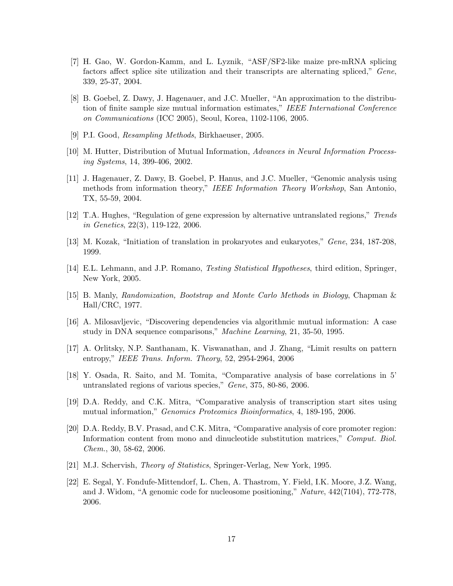- [7] H. Gao, W. Gordon-Kamm, and L. Lyznik, "ASF/SF2-like maize pre-mRNA splicing factors affect splice site utilization and their transcripts are alternating spliced," Gene, 339, 25-37, 2004.
- [8] B. Goebel, Z. Dawy, J. Hagenauer, and J.C. Mueller, "An approximation to the distribution of finite sample size mutual information estimates," IEEE International Conference on Communications (ICC 2005), Seoul, Korea, 1102-1106, 2005.
- [9] P.I. Good, Resampling Methods, Birkhaeuser, 2005.
- [10] M. Hutter, Distribution of Mutual Information, Advances in Neural Information Processing Systems, 14, 399-406, 2002.
- [11] J. Hagenauer, Z. Dawy, B. Goebel, P. Hanus, and J.C. Mueller, "Genomic analysis using methods from information theory," IEEE Information Theory Workshop, San Antonio, TX, 55-59, 2004.
- [12] T.A. Hughes, "Regulation of gene expression by alternative untranslated regions," Trends in Genetics, 22(3), 119-122, 2006.
- [13] M. Kozak, "Initiation of translation in prokaryotes and eukaryotes," Gene, 234, 187-208, 1999.
- [14] E.L. Lehmann, and J.P. Romano, *Testing Statistical Hypotheses*, third edition, Springer, New York, 2005.
- [15] B. Manly, Randomization, Bootstrap and Monte Carlo Methods in Biology, Chapman & Hall/CRC, 1977.
- [16] A. Milosavljevic, "Discovering dependencies via algorithmic mutual information: A case study in DNA sequence comparisons," Machine Learning, 21, 35-50, 1995.
- [17] A. Orlitsky, N.P. Santhanam, K. Viswanathan, and J. Zhang, "Limit results on pattern entropy," IEEE Trans. Inform. Theory, 52, 2954-2964, 2006
- [18] Y. Osada, R. Saito, and M. Tomita, "Comparative analysis of base correlations in 5' untranslated regions of various species," Gene, 375, 80-86, 2006.
- [19] D.A. Reddy, and C.K. Mitra, "Comparative analysis of transcription start sites using mutual information," Genomics Proteomics Bioinformatics, 4, 189-195, 2006.
- [20] D.A. Reddy, B.V. Prasad, and C.K. Mitra, "Comparative analysis of core promoter region: Information content from mono and dinucleotide substitution matrices," Comput. Biol. Chem., 30, 58-62, 2006.
- [21] M.J. Schervish, Theory of Statistics, Springer-Verlag, New York, 1995.
- [22] E. Segal, Y. Fondufe-Mittendorf, L. Chen, A. Thastrom, Y. Field, I.K. Moore, J.Z. Wang, and J. Widom, "A genomic code for nucleosome positioning," Nature, 442(7104), 772-778, 2006.